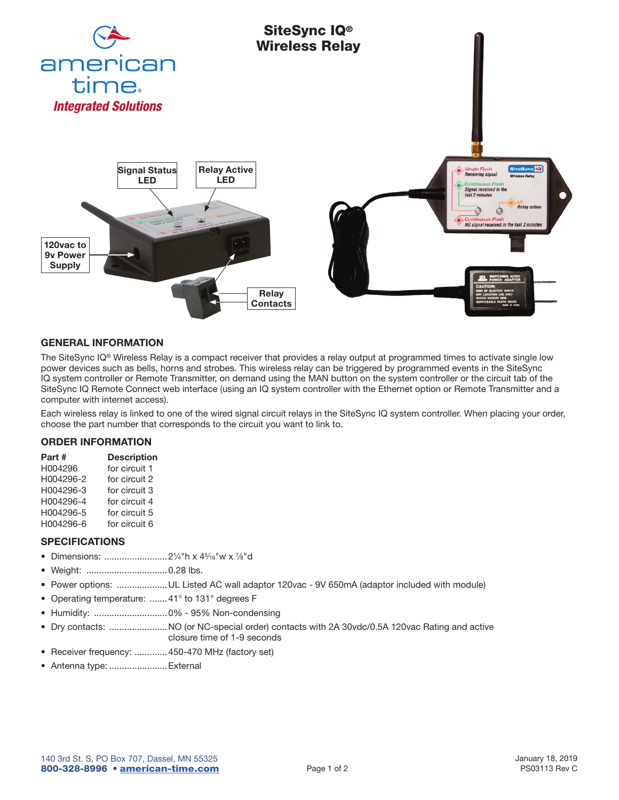

## GENERAL INFORMATION

The SiteSync IQ® Wireless Relay is a compact receiver that provides a relay output at programmed times to activate single low power devices such as bells, horns and strobes. This wireless relay can be triggered by programmed events in the SiteSync IQ system controller or Remote Transmitter, on demand using the MAN button on the system controller or the circuit tab of the SiteSync IQ Remote Connect web interface (using an IQ system controller with the Ethernet option or Remote Transmitter and a computer with internet access).

Each wireless relay is linked to one of the wired signal circuit relays in the SiteSync IQ system controller. When placing your order, choose the part number that corresponds to the circuit you want to link to.

## ORDER INFORMATION

| Part #    | <b>Description</b> |
|-----------|--------------------|
| H004296   | for circuit 1      |
| H004296-2 | for circuit 2      |
| H004296-3 | for circuit 3      |
| H004296-4 | for circuit 4      |
| H004296-5 | for circuit 5      |
| H004296-6 | for circuit 6      |

## SPECIFICATIONS

- Dimensions: .........................21⁄4"h x 45⁄16"w x 7⁄8"d
- Weight: ................................0.28 lbs.
- Power options: ....................UL Listed AC wall adaptor 120vac 9V 650mA (adaptor included with module)
- Operating temperature: .......41° to 131° degrees F
- Humidity: .............................0% 95% Non-condensing
- Dry contacts: .......................NO (or NC-special order) contacts with 2A 30vdc/0.5A 120vac Rating and active closure time of 1-9 seconds
- Receiver frequency: .............450-470 MHz (factory set)
- Antenna type: .......................External